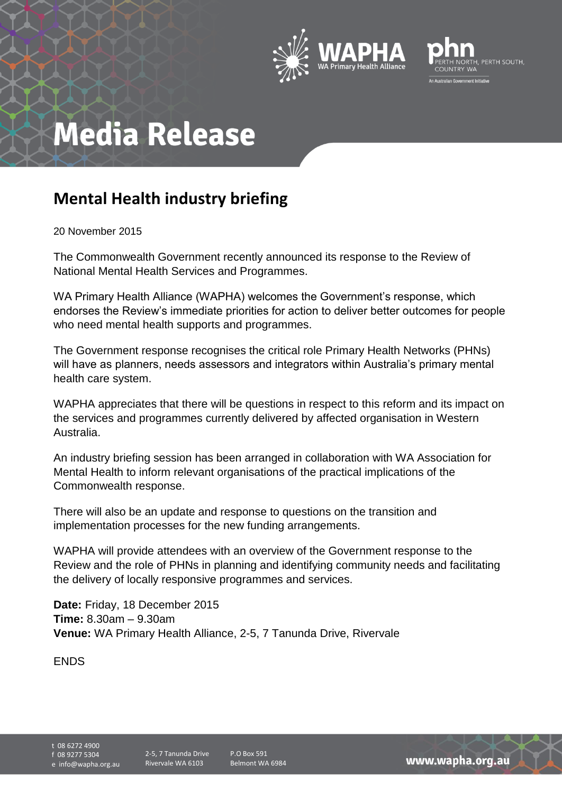



## **Media Release**

## **Mental Health industry briefing**

20 November 2015

The Commonwealth Government recently announced its response to the Review of National Mental Health Services and Programmes.

WA Primary Health Alliance (WAPHA) welcomes the Government's response, which endorses the Review's immediate priorities for action to deliver better outcomes for people who need mental health supports and programmes.

The Government response recognises the critical role Primary Health Networks (PHNs) will have as planners, needs assessors and integrators within Australia's primary mental health care system.

WAPHA appreciates that there will be questions in respect to this reform and its impact on the services and programmes currently delivered by affected organisation in Western Australia.

An industry briefing session has been arranged in collaboration with WA Association for Mental Health to inform relevant organisations of the practical implications of the Commonwealth response.

There will also be an update and response to questions on the transition and implementation processes for the new funding arrangements.

WAPHA will provide attendees with an overview of the Government response to the Review and the role of PHNs in planning and identifying community needs and facilitating the delivery of locally responsive programmes and services.

**Date:** Friday, 18 December 2015 **Time:** 8.30am – 9.30am **Venue:** WA Primary Health Alliance, 2-5, 7 Tanunda Drive, Rivervale

ENDS

t 08 6272 4900 f 08 9277 5304

e info@wapha.org.au

P.O Box 591 Belmont WA 6984

www.wapha.org.au